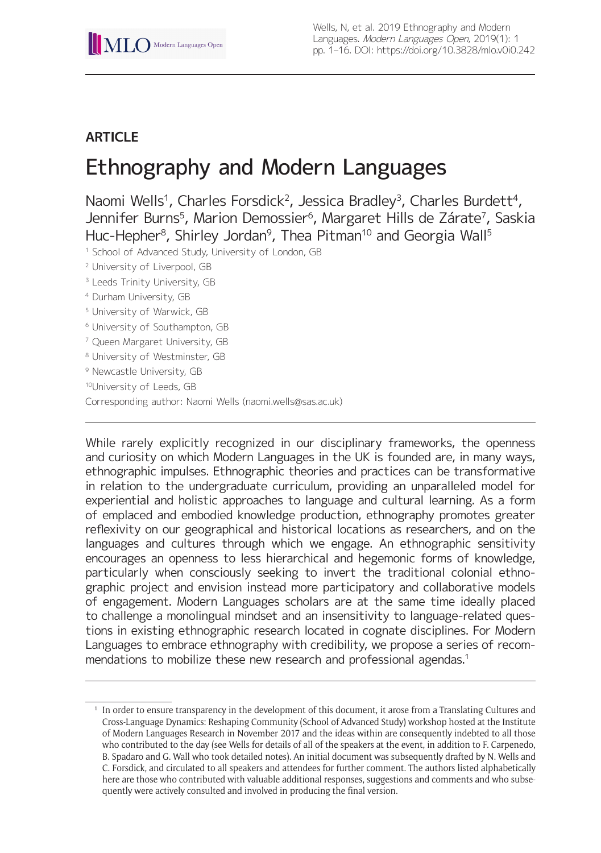# **ARTICLE**

# Ethnography and Modern Languages

Naomi Wells<sup>1</sup>, Charles Forsdick<sup>2</sup>, Jessica Bradley<sup>3</sup>, Charles Burdett<sup>4</sup>, Jennifer Burns<sup>5</sup>, Marion Demossier<sup>6</sup>, Margaret Hills de Zárate<sup>7</sup>, Saskia Huc-Hepher<sup>8</sup>, Shirley Jordan<sup>9</sup>, Thea Pitman<sup>10</sup> and Georgia Wall<sup>5</sup>

<sup>1</sup> School of Advanced Study, University of London, GB

- <sup>2</sup> University of Liverpool, GB
- <sup>3</sup> Leeds Trinity University, GB
- <sup>4</sup> Durham University, GB
- <sup>5</sup> University of Warwick, GB
- <sup>6</sup> University of Southampton, GB
- <sup>7</sup> Queen Margaret University, GB
- <sup>8</sup> University of Westminster, GB
- <sup>9</sup> Newcastle University, GB

10University of Leeds, GB

Corresponding author: Naomi Wells [\(naomi.wells@sas.ac.uk\)](mailto:naomi.wells@sas.ac.uk)

While rarely explicitly recognized in our disciplinary frameworks, the openness and curiosity on which Modern Languages in the UK is founded are, in many ways, ethnographic impulses. Ethnographic theories and practices can be transformative in relation to the undergraduate curriculum, providing an unparalleled model for experiential and holistic approaches to language and cultural learning. As a form of emplaced and embodied knowledge production, ethnography promotes greater reflexivity on our geographical and historical locations as researchers, and on the languages and cultures through which we engage. An ethnographic sensitivity encourages an openness to less hierarchical and hegemonic forms of knowledge, particularly when consciously seeking to invert the traditional colonial ethnographic project and envision instead more participatory and collaborative models of engagement. Modern Languages scholars are at the same time ideally placed to challenge a monolingual mindset and an insensitivity to language-related questions in existing ethnographic research located in cognate disciplines. For Modern Languages to embrace ethnography with credibility, we propose a series of recommendations to mobilize these new research and professional agendas.<sup>1</sup>

<sup>1</sup> In order to ensure transparency in the development of this document, it arose from a Translating Cultures and Cross-Language Dynamics: Reshaping Community (School of Advanced Study) workshop hosted at the Institute of Modern Languages Research in November 2017 and the ideas within are consequently indebted to all those who contributed to the day (see Wells for details of all of the speakers at the event, in addition to F. Carpenedo, B. Spadaro and G. Wall who took detailed notes). An initial document was subsequently drafted by N. Wells and C. Forsdick, and circulated to all speakers and attendees for further comment. The authors listed alphabetically here are those who contributed with valuable additional responses, suggestions and comments and who subsequently were actively consulted and involved in producing the final version.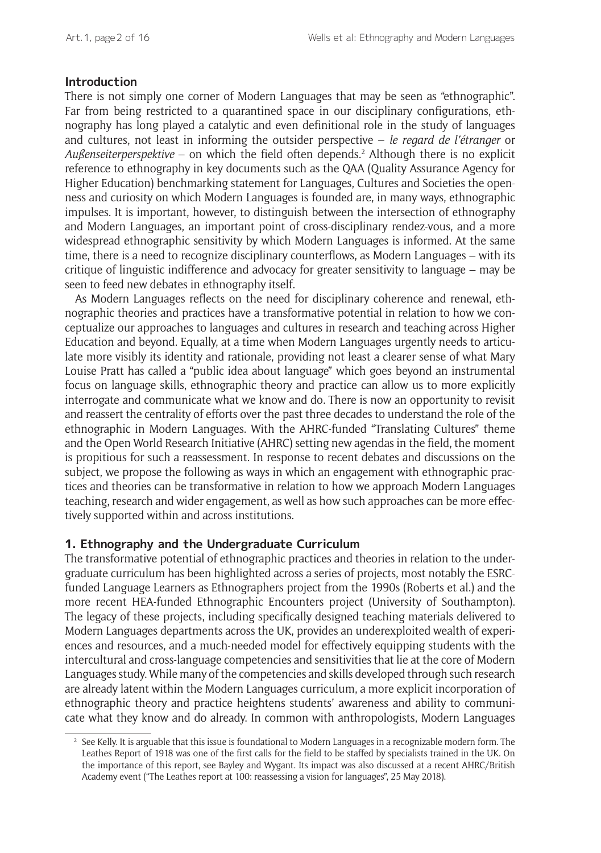#### **Introduction**

There is not simply one corner of Modern Languages that may be seen as "ethnographic". Far from being restricted to a quarantined space in our disciplinary configurations, ethnography has long played a catalytic and even definitional role in the study of languages and cultures, not least in informing the outsider perspective – *le regard de l'étranger* or *Außenseiterperspektive* – on which the field often depends.2 Although there is no explicit reference to ethnography in key documents such as the QAA (Quality Assurance Agency for Higher Education) benchmarking statement for Languages, Cultures and Societies the openness and curiosity on which Modern Languages is founded are, in many ways, ethnographic impulses. It is important, however, to distinguish between the intersection of ethnography and Modern Languages, an important point of cross-disciplinary rendez-vous, and a more widespread ethnographic sensitivity by which Modern Languages is informed. At the same time, there is a need to recognize disciplinary counterflows, as Modern Languages – with its critique of linguistic indifference and advocacy for greater sensitivity to language – may be seen to feed new debates in ethnography itself.

As Modern Languages reflects on the need for disciplinary coherence and renewal, ethnographic theories and practices have a transformative potential in relation to how we conceptualize our approaches to languages and cultures in research and teaching across Higher Education and beyond. Equally, at a time when Modern Languages urgently needs to articulate more visibly its identity and rationale, providing not least a clearer sense of what Mary Louise Pratt has called a "public idea about language" which goes beyond an instrumental focus on language skills, ethnographic theory and practice can allow us to more explicitly interrogate and communicate what we know and do. There is now an opportunity to revisit and reassert the centrality of efforts over the past three decades to understand the role of the ethnographic in Modern Languages. With the AHRC-funded "Translating Cultures" theme and the Open World Research Initiative (AHRC) setting new agendas in the field, the moment is propitious for such a reassessment. In response to recent debates and discussions on the subject, we propose the following as ways in which an engagement with ethnographic practices and theories can be transformative in relation to how we approach Modern Languages teaching, research and wider engagement, as well as how such approaches can be more effectively supported within and across institutions.

#### **1. Ethnography and the Undergraduate Curriculum**

The transformative potential of ethnographic practices and theories in relation to the undergraduate curriculum has been highlighted across a series of projects, most notably the ESRCfunded Language Learners as Ethnographers project from the 1990s (Roberts et al.) and the more recent HEA-funded Ethnographic Encounters project (University of Southampton). The legacy of these projects, including specifically designed teaching materials delivered to Modern Languages departments across the UK, provides an underexploited wealth of experiences and resources, and a much-needed model for effectively equipping students with the intercultural and cross-language competencies and sensitivities that lie at the core of Modern Languages study. While many of the competencies and skills developed through such research are already latent within the Modern Languages curriculum, a more explicit incorporation of ethnographic theory and practice heightens students' awareness and ability to communicate what they know and do already. In common with anthropologists, Modern Languages

<sup>&</sup>lt;sup>2</sup> See Kelly. It is arguable that this issue is foundational to Modern Languages in a recognizable modern form. The Leathes Report of 1918 was one of the first calls for the field to be staffed by specialists trained in the UK. On the importance of this report, see Bayley and Wygant. Its impact was also discussed at a recent AHRC/British Academy event ("The Leathes report at 100: reassessing a vision for languages", 25 May 2018).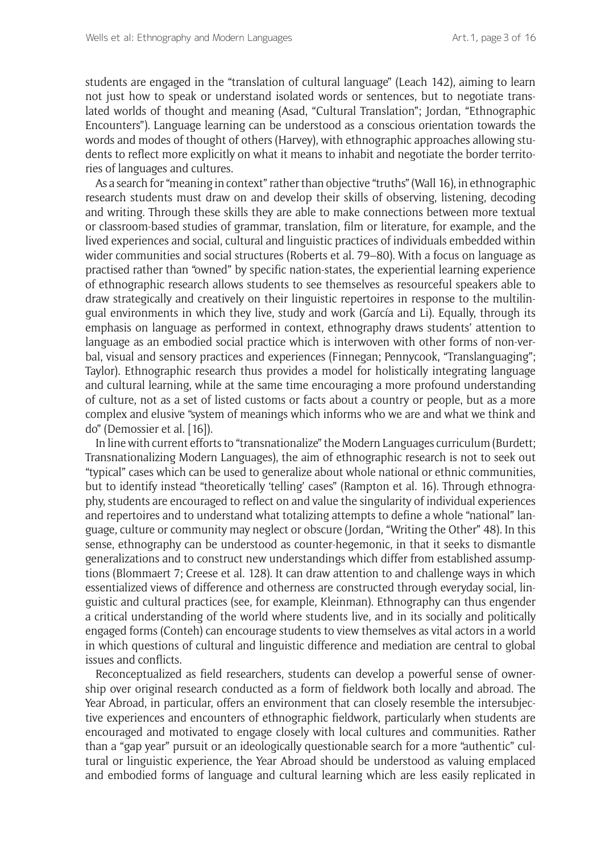students are engaged in the "translation of cultural language" (Leach 142), aiming to learn not just how to speak or understand isolated words or sentences, but to negotiate translated worlds of thought and meaning (Asad, "Cultural Translation"; Jordan, "Ethnographic Encounters"). Language learning can be understood as a conscious orientation towards the words and modes of thought of others (Harvey), with ethnographic approaches allowing students to reflect more explicitly on what it means to inhabit and negotiate the border territories of languages and cultures.

As a search for "meaning in context" rather than objective "truths" (Wall 16), in ethnographic research students must draw on and develop their skills of observing, listening, decoding and writing. Through these skills they are able to make connections between more textual or classroom-based studies of grammar, translation, film or literature, for example, and the lived experiences and social, cultural and linguistic practices of individuals embedded within wider communities and social structures (Roberts et al. 79–80). With a focus on language as practised rather than "owned" by specific nation-states, the experiential learning experience of ethnographic research allows students to see themselves as resourceful speakers able to draw strategically and creatively on their linguistic repertoires in response to the multilingual environments in which they live, study and work (García and Li). Equally, through its emphasis on language as performed in context, ethnography draws students' attention to language as an embodied social practice which is interwoven with other forms of non-verbal, visual and sensory practices and experiences (Finnegan; Pennycook, "Translanguaging"; Taylor). Ethnographic research thus provides a model for holistically integrating language and cultural learning, while at the same time encouraging a more profound understanding of culture, not as a set of listed customs or facts about a country or people, but as a more complex and elusive "system of meanings which informs who we are and what we think and do" (Demossier et al. [16]).

In line with current efforts to "transnationalize" the Modern Languages curriculum (Burdett; Transnationalizing Modern Languages), the aim of ethnographic research is not to seek out "typical" cases which can be used to generalize about whole national or ethnic communities, but to identify instead "theoretically 'telling' cases" (Rampton et al. 16). Through ethnography, students are encouraged to reflect on and value the singularity of individual experiences and repertoires and to understand what totalizing attempts to define a whole "national" language, culture or community may neglect or obscure (Jordan, "Writing the Other" 48). In this sense, ethnography can be understood as counter-hegemonic, in that it seeks to dismantle generalizations and to construct new understandings which differ from established assumptions (Blommaert 7; Creese et al. 128). It can draw attention to and challenge ways in which essentialized views of difference and otherness are constructed through everyday social, linguistic and cultural practices (see, for example, Kleinman). Ethnography can thus engender a critical understanding of the world where students live, and in its socially and politically engaged forms (Conteh) can encourage students to view themselves as vital actors in a world in which questions of cultural and linguistic difference and mediation are central to global issues and conflicts.

Reconceptualized as field researchers, students can develop a powerful sense of ownership over original research conducted as a form of fieldwork both locally and abroad. The Year Abroad, in particular, offers an environment that can closely resemble the intersubjective experiences and encounters of ethnographic fieldwork, particularly when students are encouraged and motivated to engage closely with local cultures and communities. Rather than a "gap year" pursuit or an ideologically questionable search for a more "authentic" cultural or linguistic experience, the Year Abroad should be understood as valuing emplaced and embodied forms of language and cultural learning which are less easily replicated in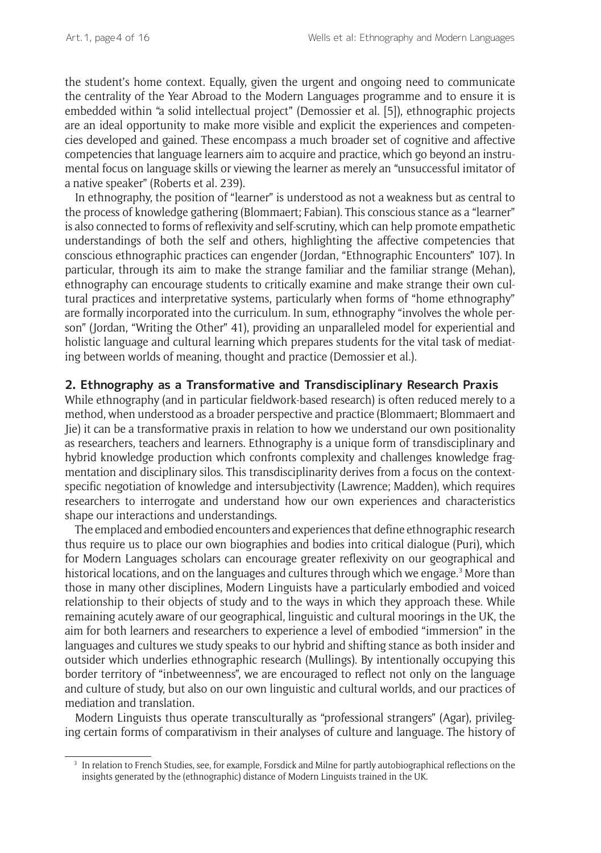the student's home context. Equally, given the urgent and ongoing need to communicate the centrality of the Year Abroad to the Modern Languages programme and to ensure it is embedded within "a solid intellectual project" (Demossier et al. [5]), ethnographic projects are an ideal opportunity to make more visible and explicit the experiences and competencies developed and gained. These encompass a much broader set of cognitive and affective competencies that language learners aim to acquire and practice, which go beyond an instrumental focus on language skills or viewing the learner as merely an "unsuccessful imitator of a native speaker" (Roberts et al. 239).

In ethnography, the position of "learner" is understood as not a weakness but as central to the process of knowledge gathering (Blommaert; Fabian). This conscious stance as a "learner" is also connected to forms of reflexivity and self-scrutiny, which can help promote empathetic understandings of both the self and others, highlighting the affective competencies that conscious ethnographic practices can engender (Jordan, "Ethnographic Encounters" 107). In particular, through its aim to make the strange familiar and the familiar strange (Mehan), ethnography can encourage students to critically examine and make strange their own cultural practices and interpretative systems, particularly when forms of "home ethnography" are formally incorporated into the curriculum. In sum, ethnography "involves the whole person" (Jordan, "Writing the Other" 41), providing an unparalleled model for experiential and holistic language and cultural learning which prepares students for the vital task of mediating between worlds of meaning, thought and practice (Demossier et al.).

#### **2. Ethnography as a Transformative and Transdisciplinary Research Praxis**

While ethnography (and in particular fieldwork-based research) is often reduced merely to a method, when understood as a broader perspective and practice (Blommaert; Blommaert and Jie) it can be a transformative praxis in relation to how we understand our own positionality as researchers, teachers and learners. Ethnography is a unique form of transdisciplinary and hybrid knowledge production which confronts complexity and challenges knowledge fragmentation and disciplinary silos. This transdisciplinarity derives from a focus on the contextspecific negotiation of knowledge and intersubjectivity (Lawrence; Madden), which requires researchers to interrogate and understand how our own experiences and characteristics shape our interactions and understandings.

The emplaced and embodied encounters and experiences that define ethnographic research thus require us to place our own biographies and bodies into critical dialogue (Puri), which for Modern Languages scholars can encourage greater reflexivity on our geographical and historical locations, and on the languages and cultures through which we engage.<sup>3</sup> More than those in many other disciplines, Modern Linguists have a particularly embodied and voiced relationship to their objects of study and to the ways in which they approach these. While remaining acutely aware of our geographical, linguistic and cultural moorings in the UK, the aim for both learners and researchers to experience a level of embodied "immersion" in the languages and cultures we study speaks to our hybrid and shifting stance as both insider and outsider which underlies ethnographic research (Mullings). By intentionally occupying this border territory of "inbetweenness", we are encouraged to reflect not only on the language and culture of study, but also on our own linguistic and cultural worlds, and our practices of mediation and translation.

Modern Linguists thus operate transculturally as "professional strangers" (Agar), privileging certain forms of comparativism in their analyses of culture and language. The history of

<sup>&</sup>lt;sup>3</sup> In relation to French Studies, see, for example, Forsdick and Milne for partly autobiographical reflections on the insights generated by the (ethnographic) distance of Modern Linguists trained in the UK.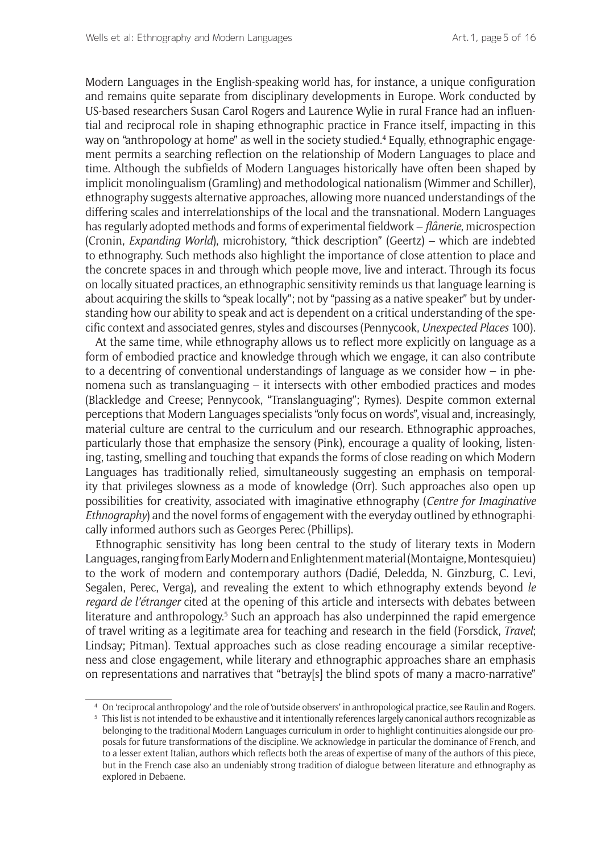Modern Languages in the English-speaking world has, for instance, a unique configuration and remains quite separate from disciplinary developments in Europe. Work conducted by US-based researchers Susan Carol Rogers and Laurence Wylie in rural France had an influential and reciprocal role in shaping ethnographic practice in France itself, impacting in this way on "anthropology at home" as well in the society studied.4 Equally, ethnographic engagement permits a searching reflection on the relationship of Modern Languages to place and time. Although the subfields of Modern Languages historically have often been shaped by implicit monolingualism (Gramling) and methodological nationalism (Wimmer and Schiller), ethnography suggests alternative approaches, allowing more nuanced understandings of the differing scales and interrelationships of the local and the transnational. Modern Languages has regularly adopted methods and forms of experimental fieldwork – *flânerie*, microspection (Cronin, *Expanding World*), microhistory, "thick description" (Geertz) – which are indebted to ethnography. Such methods also highlight the importance of close attention to place and the concrete spaces in and through which people move, live and interact. Through its focus on locally situated practices, an ethnographic sensitivity reminds us that language learning is about acquiring the skills to "speak locally"; not by "passing as a native speaker" but by understanding how our ability to speak and act is dependent on a critical understanding of the specific context and associated genres, styles and discourses (Pennycook, *Unexpected Places* 100).

At the same time, while ethnography allows us to reflect more explicitly on language as a form of embodied practice and knowledge through which we engage, it can also contribute to a decentring of conventional understandings of language as we consider how – in phenomena such as translanguaging – it intersects with other embodied practices and modes (Blackledge and Creese; Pennycook, "Translanguaging"; Rymes). Despite common external perceptions that Modern Languages specialists "only focus on words", visual and, increasingly, material culture are central to the curriculum and our research. Ethnographic approaches, particularly those that emphasize the sensory (Pink), encourage a quality of looking, listening, tasting, smelling and touching that expands the forms of close reading on which Modern Languages has traditionally relied, simultaneously suggesting an emphasis on temporality that privileges slowness as a mode of knowledge (Orr). Such approaches also open up possibilities for creativity, associated with imaginative ethnography (*Centre for Imaginative Ethnography*) and the novel forms of engagement with the everyday outlined by ethnographically informed authors such as Georges Perec (Phillips).

Ethnographic sensitivity has long been central to the study of literary texts in Modern Languages, ranging from Early Modern and Enlightenment material (Montaigne, Montesquieu) to the work of modern and contemporary authors (Dadié, Deledda, N. Ginzburg, C. Levi, Segalen, Perec, Verga), and revealing the extent to which ethnography extends beyond *le regard de l'étranger* cited at the opening of this article and intersects with debates between literature and anthropology.<sup>5</sup> Such an approach has also underpinned the rapid emergence of travel writing as a legitimate area for teaching and research in the field (Forsdick, *Travel*; Lindsay; Pitman). Textual approaches such as close reading encourage a similar receptiveness and close engagement, while literary and ethnographic approaches share an emphasis on representations and narratives that "betray[s] the blind spots of many a macro-narrative"

<sup>4</sup> On 'reciprocal anthropology' and the role of 'outside observers' in anthropological practice, see Raulin and Rogers.

<sup>&</sup>lt;sup>5</sup> This list is not intended to be exhaustive and it intentionally references largely canonical authors recognizable as belonging to the traditional Modern Languages curriculum in order to highlight continuities alongside our proposals for future transformations of the discipline. We acknowledge in particular the dominance of French, and to a lesser extent Italian, authors which reflects both the areas of expertise of many of the authors of this piece, but in the French case also an undeniably strong tradition of dialogue between literature and ethnography as explored in Debaene.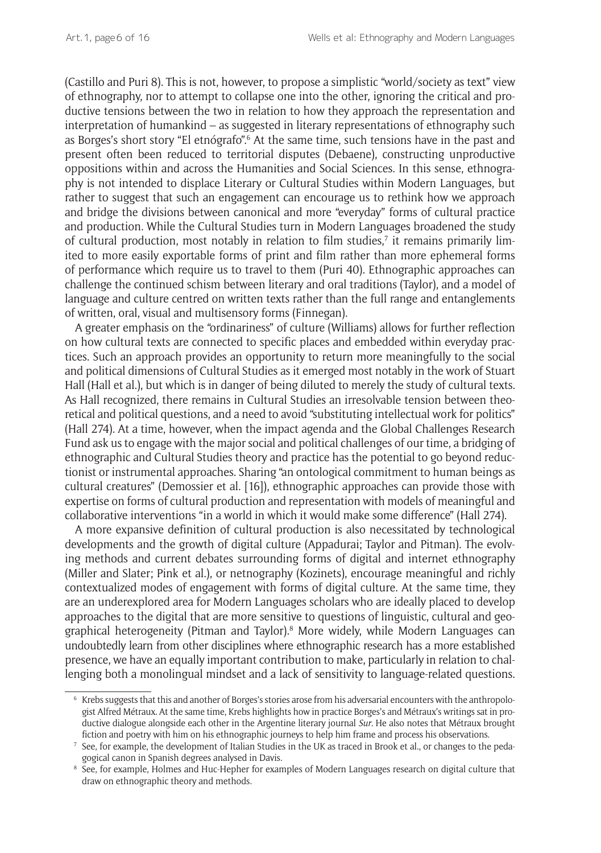(Castillo and Puri 8). This is not, however, to propose a simplistic "world/society as text" view of ethnography, nor to attempt to collapse one into the other, ignoring the critical and productive tensions between the two in relation to how they approach the representation and interpretation of humankind – as suggested in literary representations of ethnography such as Borges's short story "El etnógrafo".6 At the same time, such tensions have in the past and present often been reduced to territorial disputes (Debaene), constructing unproductive oppositions within and across the Humanities and Social Sciences. In this sense, ethnography is not intended to displace Literary or Cultural Studies within Modern Languages, but rather to suggest that such an engagement can encourage us to rethink how we approach and bridge the divisions between canonical and more "everyday" forms of cultural practice and production. While the Cultural Studies turn in Modern Languages broadened the study of cultural production, most notably in relation to film studies,<sup>7</sup> it remains primarily limited to more easily exportable forms of print and film rather than more ephemeral forms of performance which require us to travel to them (Puri 40). Ethnographic approaches can challenge the continued schism between literary and oral traditions (Taylor), and a model of language and culture centred on written texts rather than the full range and entanglements of written, oral, visual and multisensory forms (Finnegan).

A greater emphasis on the "ordinariness" of culture (Williams) allows for further reflection on how cultural texts are connected to specific places and embedded within everyday practices. Such an approach provides an opportunity to return more meaningfully to the social and political dimensions of Cultural Studies as it emerged most notably in the work of Stuart Hall (Hall et al.), but which is in danger of being diluted to merely the study of cultural texts. As Hall recognized, there remains in Cultural Studies an irresolvable tension between theoretical and political questions, and a need to avoid "substituting intellectual work for politics" (Hall 274). At a time, however, when the impact agenda and the Global Challenges Research Fund ask us to engage with the major social and political challenges of our time, a bridging of ethnographic and Cultural Studies theory and practice has the potential to go beyond reductionist or instrumental approaches. Sharing "an ontological commitment to human beings as cultural creatures" (Demossier et al. [16]), ethnographic approaches can provide those with expertise on forms of cultural production and representation with models of meaningful and collaborative interventions "in a world in which it would make some difference" (Hall 274).

A more expansive definition of cultural production is also necessitated by technological developments and the growth of digital culture (Appadurai; Taylor and Pitman). The evolving methods and current debates surrounding forms of digital and internet ethnography (Miller and Slater; Pink et al.), or netnography (Kozinets), encourage meaningful and richly contextualized modes of engagement with forms of digital culture. At the same time, they are an underexplored area for Modern Languages scholars who are ideally placed to develop approaches to the digital that are more sensitive to questions of linguistic, cultural and geographical heterogeneity (Pitman and Taylor).<sup>8</sup> More widely, while Modern Languages can undoubtedly learn from other disciplines where ethnographic research has a more established presence, we have an equally important contribution to make, particularly in relation to challenging both a monolingual mindset and a lack of sensitivity to language-related questions.

 $6$  Krebs suggests that this and another of Borges's stories arose from his adversarial encounters with the anthropologist Alfred Métraux. At the same time, Krebs highlights how in practice Borges's and Métraux's writings sat in productive dialogue alongside each other in the Argentine literary journal *Sur*. He also notes that Métraux brought fiction and poetry with him on his ethnographic journeys to help him frame and process his observations.

<sup>7</sup> See, for example, the development of Italian Studies in the UK as traced in Brook et al., or changes to the pedagogical canon in Spanish degrees analysed in Davis.

<sup>&</sup>lt;sup>8</sup> See, for example, Holmes and Huc-Hepher for examples of Modern Languages research on digital culture that draw on ethnographic theory and methods.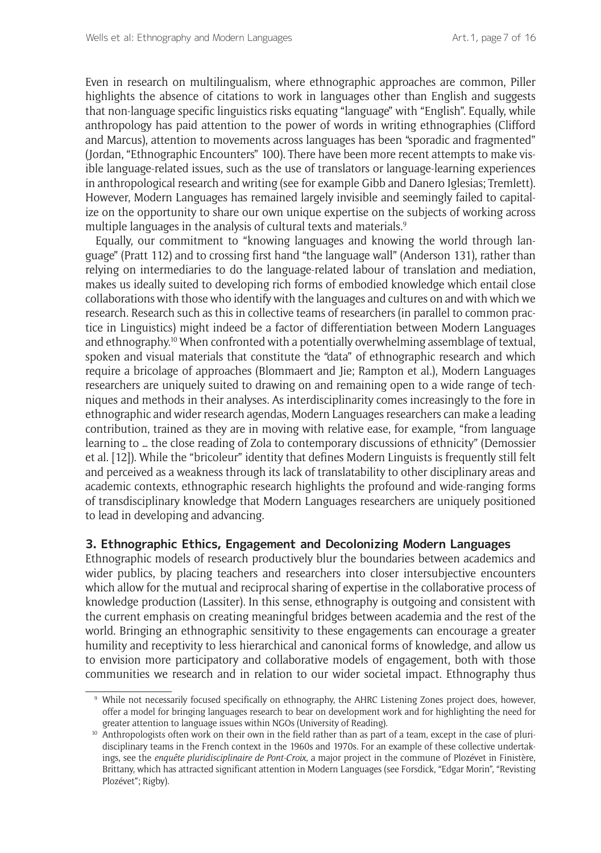Even in research on multilingualism, where ethnographic approaches are common, Piller highlights the absence of citations to work in languages other than English and suggests that non-language specific linguistics risks equating "language" with "English". Equally, while anthropology has paid attention to the power of words in writing ethnographies (Clifford and Marcus), attention to movements across languages has been "sporadic and fragmented" (Jordan, "Ethnographic Encounters" 100). There have been more recent attempts to make visible language-related issues, such as the use of translators or language-learning experiences in anthropological research and writing (see for example Gibb and Danero Iglesias; Tremlett). However, Modern Languages has remained largely invisible and seemingly failed to capitalize on the opportunity to share our own unique expertise on the subjects of working across multiple languages in the analysis of cultural texts and materials.<sup>9</sup>

Equally, our commitment to "knowing languages and knowing the world through language" (Pratt 112) and to crossing first hand "the language wall" (Anderson 131), rather than relying on intermediaries to do the language-related labour of translation and mediation, makes us ideally suited to developing rich forms of embodied knowledge which entail close collaborations with those who identify with the languages and cultures on and with which we research. Research such as this in collective teams of researchers (in parallel to common practice in Linguistics) might indeed be a factor of differentiation between Modern Languages and ethnography.<sup>10</sup> When confronted with a potentially overwhelming assemblage of textual, spoken and visual materials that constitute the "data" of ethnographic research and which require a bricolage of approaches (Blommaert and Jie; Rampton et al.), Modern Languages researchers are uniquely suited to drawing on and remaining open to a wide range of techniques and methods in their analyses. As interdisciplinarity comes increasingly to the fore in ethnographic and wider research agendas, Modern Languages researchers can make a leading contribution, trained as they are in moving with relative ease, for example, "from language learning to … the close reading of Zola to contemporary discussions of ethnicity" (Demossier et al. [12]). While the "bricoleur" identity that defines Modern Linguists is frequently still felt and perceived as a weakness through its lack of translatability to other disciplinary areas and academic contexts, ethnographic research highlights the profound and wide-ranging forms of transdisciplinary knowledge that Modern Languages researchers are uniquely positioned to lead in developing and advancing.

# **3. Ethnographic Ethics, Engagement and Decolonizing Modern Languages**

Ethnographic models of research productively blur the boundaries between academics and wider publics, by placing teachers and researchers into closer intersubjective encounters which allow for the mutual and reciprocal sharing of expertise in the collaborative process of knowledge production (Lassiter). In this sense, ethnography is outgoing and consistent with the current emphasis on creating meaningful bridges between academia and the rest of the world. Bringing an ethnographic sensitivity to these engagements can encourage a greater humility and receptivity to less hierarchical and canonical forms of knowledge, and allow us to envision more participatory and collaborative models of engagement, both with those communities we research and in relation to our wider societal impact. Ethnography thus

<sup>9</sup> While not necessarily focused specifically on ethnography, the AHRC Listening Zones project does, however, offer a model for bringing languages research to bear on development work and for highlighting the need for greater attention to language issues within NGOs (University of Reading).

<sup>&</sup>lt;sup>10</sup> Anthropologists often work on their own in the field rather than as part of a team, except in the case of pluridisciplinary teams in the French context in the 1960s and 1970s. For an example of these collective undertakings, see the *enquête pluridisciplinaire de Pont-Croix*, a major project in the commune of Plozévet in Finistère, Brittany, which has attracted significant attention in Modern Languages (see Forsdick, "Edgar Morin", "Revisting Plozévet"; Rigby).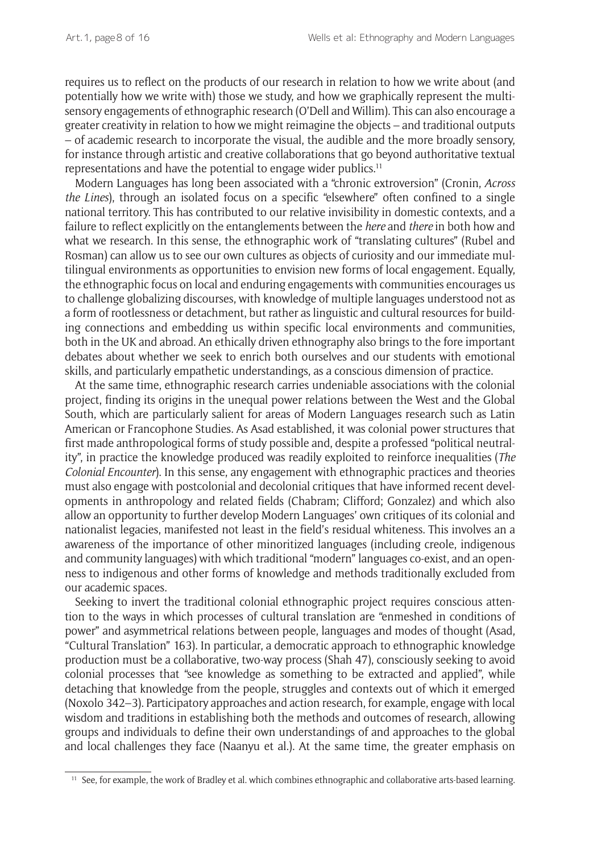requires us to reflect on the products of our research in relation to how we write about (and potentially how we write with) those we study, and how we graphically represent the multisensory engagements of ethnographic research (O'Dell and Willim). This can also encourage a greater creativity in relation to how we might reimagine the objects – and traditional outputs – of academic research to incorporate the visual, the audible and the more broadly sensory, for instance through artistic and creative collaborations that go beyond authoritative textual representations and have the potential to engage wider publics.11

Modern Languages has long been associated with a "chronic extroversion" (Cronin, *Across the Lines*), through an isolated focus on a specific "elsewhere" often confined to a single national territory. This has contributed to our relative invisibility in domestic contexts, and a failure to reflect explicitly on the entanglements between the *here* and *there* in both how and what we research. In this sense, the ethnographic work of "translating cultures" (Rubel and Rosman) can allow us to see our own cultures as objects of curiosity and our immediate multilingual environments as opportunities to envision new forms of local engagement. Equally, the ethnographic focus on local and enduring engagements with communities encourages us to challenge globalizing discourses, with knowledge of multiple languages understood not as a form of rootlessness or detachment, but rather as linguistic and cultural resources for building connections and embedding us within specific local environments and communities, both in the UK and abroad. An ethically driven ethnography also brings to the fore important debates about whether we seek to enrich both ourselves and our students with emotional skills, and particularly empathetic understandings, as a conscious dimension of practice.

At the same time, ethnographic research carries undeniable associations with the colonial project, finding its origins in the unequal power relations between the West and the Global South, which are particularly salient for areas of Modern Languages research such as Latin American or Francophone Studies. As Asad established, it was colonial power structures that first made anthropological forms of study possible and, despite a professed "political neutrality", in practice the knowledge produced was readily exploited to reinforce inequalities (*The Colonial Encounter*). In this sense, any engagement with ethnographic practices and theories must also engage with postcolonial and decolonial critiques that have informed recent developments in anthropology and related fields (Chabram; Clifford; Gonzalez) and which also allow an opportunity to further develop Modern Languages' own critiques of its colonial and nationalist legacies, manifested not least in the field's residual whiteness. This involves an a awareness of the importance of other minoritized languages (including creole, indigenous and community languages) with which traditional "modern" languages co-exist, and an openness to indigenous and other forms of knowledge and methods traditionally excluded from our academic spaces.

Seeking to invert the traditional colonial ethnographic project requires conscious attention to the ways in which processes of cultural translation are "enmeshed in conditions of power" and asymmetrical relations between people, languages and modes of thought (Asad, "Cultural Translation" 163). In particular, a democratic approach to ethnographic knowledge production must be a collaborative, two-way process (Shah 47), consciously seeking to avoid colonial processes that "see knowledge as something to be extracted and applied", while detaching that knowledge from the people, struggles and contexts out of which it emerged (Noxolo 342–3). Participatory approaches and action research, for example, engage with local wisdom and traditions in establishing both the methods and outcomes of research, allowing groups and individuals to define their own understandings of and approaches to the global and local challenges they face (Naanyu et al.). At the same time, the greater emphasis on

<sup>&</sup>lt;sup>11</sup> See, for example, the work of Bradley et al. which combines ethnographic and collaborative arts-based learning.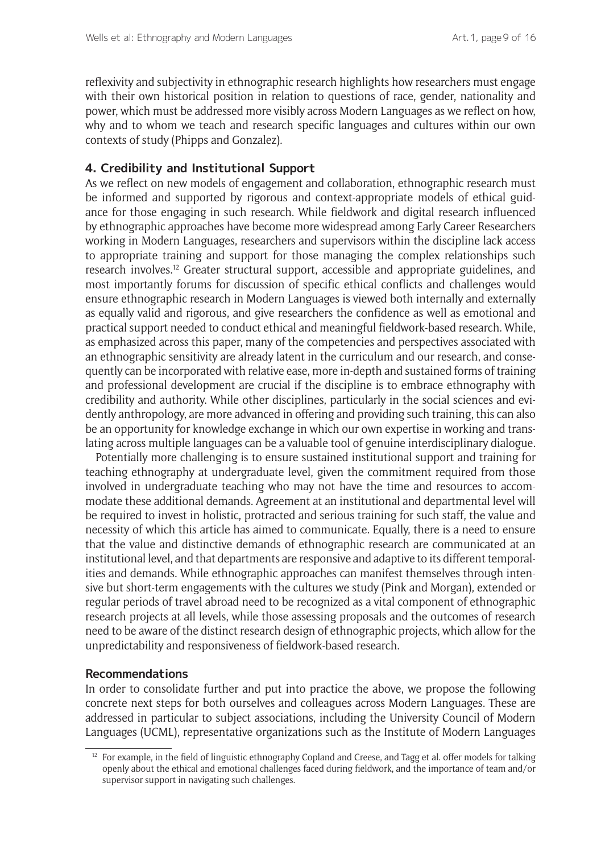reflexivity and subjectivity in ethnographic research highlights how researchers must engage with their own historical position in relation to questions of race, gender, nationality and power, which must be addressed more visibly across Modern Languages as we reflect on how, why and to whom we teach and research specific languages and cultures within our own contexts of study (Phipps and Gonzalez).

# **4. Credibility and Institutional Support**

As we reflect on new models of engagement and collaboration, ethnographic research must be informed and supported by rigorous and context-appropriate models of ethical guidance for those engaging in such research. While fieldwork and digital research influenced by ethnographic approaches have become more widespread among Early Career Researchers working in Modern Languages, researchers and supervisors within the discipline lack access to appropriate training and support for those managing the complex relationships such research involves.12 Greater structural support, accessible and appropriate guidelines, and most importantly forums for discussion of specific ethical conflicts and challenges would ensure ethnographic research in Modern Languages is viewed both internally and externally as equally valid and rigorous, and give researchers the confidence as well as emotional and practical support needed to conduct ethical and meaningful fieldwork-based research. While, as emphasized across this paper, many of the competencies and perspectives associated with an ethnographic sensitivity are already latent in the curriculum and our research, and consequently can be incorporated with relative ease, more in-depth and sustained forms of training and professional development are crucial if the discipline is to embrace ethnography with credibility and authority. While other disciplines, particularly in the social sciences and evidently anthropology, are more advanced in offering and providing such training, this can also be an opportunity for knowledge exchange in which our own expertise in working and translating across multiple languages can be a valuable tool of genuine interdisciplinary dialogue.

Potentially more challenging is to ensure sustained institutional support and training for teaching ethnography at undergraduate level, given the commitment required from those involved in undergraduate teaching who may not have the time and resources to accommodate these additional demands. Agreement at an institutional and departmental level will be required to invest in holistic, protracted and serious training for such staff, the value and necessity of which this article has aimed to communicate. Equally, there is a need to ensure that the value and distinctive demands of ethnographic research are communicated at an institutional level, and that departments are responsive and adaptive to its different temporalities and demands. While ethnographic approaches can manifest themselves through intensive but short-term engagements with the cultures we study (Pink and Morgan), extended or regular periods of travel abroad need to be recognized as a vital component of ethnographic research projects at all levels, while those assessing proposals and the outcomes of research need to be aware of the distinct research design of ethnographic projects, which allow for the unpredictability and responsiveness of fieldwork-based research.

#### **Recommendations**

In order to consolidate further and put into practice the above, we propose the following concrete next steps for both ourselves and colleagues across Modern Languages. These are addressed in particular to subject associations, including the University Council of Modern Languages (UCML), representative organizations such as the Institute of Modern Languages

 $12$  For example, in the field of linguistic ethnography Copland and Creese, and Tagg et al. offer models for talking openly about the ethical and emotional challenges faced during fieldwork, and the importance of team and/or supervisor support in navigating such challenges.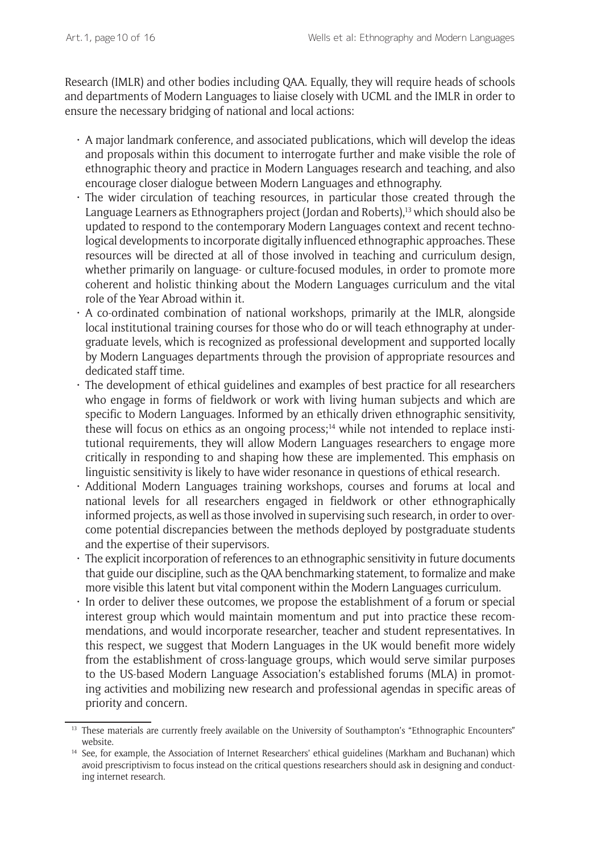Research (IMLR) and other bodies including QAA. Equally, they will require heads of schools and departments of Modern Languages to liaise closely with UCML and the IMLR in order to ensure the necessary bridging of national and local actions:

- $\cdot$  A major landmark conference, and associated publications, which will develop the ideas and proposals within this document to interrogate further and make visible the role of ethnographic theory and practice in Modern Languages research and teaching, and also encourage closer dialogue between Modern Languages and ethnography.
- $\cdot$  The wider circulation of teaching resources, in particular those created through the Language Learners as Ethnographers project (Jordan and Roberts),13 which should also be updated to respond to the contemporary Modern Languages context and recent technological developments to incorporate digitally influenced ethnographic approaches. These resources will be directed at all of those involved in teaching and curriculum design, whether primarily on language- or culture-focused modules, in order to promote more coherent and holistic thinking about the Modern Languages curriculum and the vital role of the Year Abroad within it.
- $\cdot$  A co-ordinated combination of national workshops, primarily at the IMLR, alongside local institutional training courses for those who do or will teach ethnography at undergraduate levels, which is recognized as professional development and supported locally by Modern Languages departments through the provision of appropriate resources and dedicated staff time.
- The development of ethical guidelines and examples of best practice for all researchers who engage in forms of fieldwork or work with living human subjects and which are specific to Modern Languages. Informed by an ethically driven ethnographic sensitivity, these will focus on ethics as an ongoing process;14 while not intended to replace institutional requirements, they will allow Modern Languages researchers to engage more critically in responding to and shaping how these are implemented. This emphasis on linguistic sensitivity is likely to have wider resonance in questions of ethical research.
- Additional Modern Languages training workshops, courses and forums at local and national levels for all researchers engaged in fieldwork or other ethnographically informed projects, as well as those involved in supervising such research, in order to overcome potential discrepancies between the methods deployed by postgraduate students and the expertise of their supervisors.
- The explicit incorporation of references to an ethnographic sensitivity in future documents that guide our discipline, such as the QAA benchmarking statement, to formalize and make more visible this latent but vital component within the Modern Languages curriculum.
- In order to deliver these outcomes, we propose the establishment of a forum or special interest group which would maintain momentum and put into practice these recommendations, and would incorporate researcher, teacher and student representatives. In this respect, we suggest that Modern Languages in the UK would benefit more widely from the establishment of cross-language groups, which would serve similar purposes to the US-based Modern Language Association's established forums (MLA) in promoting activities and mobilizing new research and professional agendas in specific areas of priority and concern.

<sup>&</sup>lt;sup>13</sup> These materials are currently freely available on the University of Southampton's "Ethnographic Encounters" website.

<sup>&</sup>lt;sup>14</sup> See, for example, the Association of Internet Researchers' ethical guidelines (Markham and Buchanan) which avoid prescriptivism to focus instead on the critical questions researchers should ask in designing and conducting internet research.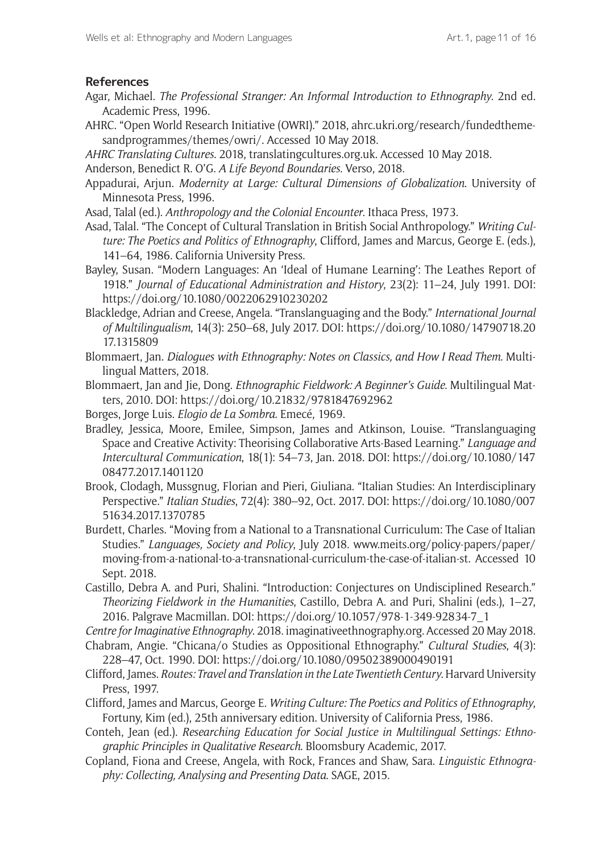# **References**

- Agar, Michael. *The Professional Stranger: An Informal Introduction to Ethnography*. 2nd ed. Academic Press, 1996.
- AHRC. "Open World Research Initiative (OWRI)." 2018, [ahrc.ukri.org/research/fundedtheme](https://ahrc.ukri.org/research/fundedthemesandprogrammes/themes/owri/)[sandprogrammes/themes/owri/](https://ahrc.ukri.org/research/fundedthemesandprogrammes/themes/owri/). Accessed 10 May 2018.
- *AHRC Translating Cultures*. 2018, [translatingcultures.org.uk.](http://translatingcultures.org.uk/) Accessed 10 May 2018.
- Anderson, Benedict R. O'G. *A Life Beyond Boundaries*. Verso, 2018.
- Appadurai, Arjun. *Modernity at Large: Cultural Dimensions of Globalization*. University of Minnesota Press, 1996.
- Asad, Talal (ed.). *Anthropology and the Colonial Encounter*. Ithaca Press, 1973.
- Asad, Talal. "The Concept of Cultural Translation in British Social Anthropology." *Writing Culture: The Poetics and Politics of Ethnography*, Clifford, James and Marcus, George E. (eds.), 141–64, 1986. California University Press.
- Bayley, Susan. "Modern Languages: An 'Ideal of Humane Learning': The Leathes Report of 1918." *Journal of Educational Administration and History*, 23(2): 11–24, July 1991. DOI: <https://doi.org/10.1080/0022062910230202>
- Blackledge, Adrian and Creese, Angela. "Translanguaging and the Body." *International Journal of Multilingualism*, 14(3): 250–68, July 2017. DOI: [https://doi.org/10.1080/14790718.20](https://doi.org/10.1080/14790718.2017.1315809) [17.1315809](https://doi.org/10.1080/14790718.2017.1315809)
- Blommaert, Jan. *Dialogues with Ethnography: Notes on Classics, and How I Read Them*. Multilingual Matters, 2018.
- Blommaert, Jan and Jie, Dong. *Ethnographic Fieldwork: A Beginner's Guide*. Multilingual Matters, 2010. DOI: <https://doi.org/10.21832/9781847692962>
- Borges, Jorge Luis. *Elogio de La Sombra*. Emecé, 1969.
- Bradley, Jessica, Moore, Emilee, Simpson, James and Atkinson, Louise. "Translanguaging Space and Creative Activity: Theorising Collaborative Arts-Based Learning." *Language and Intercultural Communication*, 18(1): 54–73, Jan. 2018. DOI: [https://doi.org/10.1080/147](https://doi.org/10.1080/14708477.2017.1401120) [08477.2017.1401120](https://doi.org/10.1080/14708477.2017.1401120)
- Brook, Clodagh, Mussgnug, Florian and Pieri, Giuliana. "Italian Studies: An Interdisciplinary Perspective." *Italian Studies*, 72(4): 380–92, Oct. 2017. DOI: [https://doi.org/10.1080/007](https://doi.org/10.1080/00751634.2017.1370785) [51634.2017.1370785](https://doi.org/10.1080/00751634.2017.1370785)
- Burdett, Charles. "Moving from a National to a Transnational Curriculum: The Case of Italian Studies." *Languages, Society and Policy*, July 2018. [www.meits.org/policy-papers/paper/](http://www.meits.org/policy-papers/paper/moving-from-a-national-to-a-transnational-curriculum-the-case-of-italian-st) [moving-from-a-national-to-a-transnational-curriculum-the-case-of-italian-st.](http://www.meits.org/policy-papers/paper/moving-from-a-national-to-a-transnational-curriculum-the-case-of-italian-st) Accessed 10 Sept. 2018.
- Castillo, Debra A. and Puri, Shalini. "Introduction: Conjectures on Undisciplined Research." *Theorizing Fieldwork in the Humanities*, Castillo, Debra A. and Puri, Shalini (eds.), 1–27, 2016. Palgrave Macmillan. DOI: [https://doi.org/10.1057/978-1-349-92834-7\\_1](https://doi.org/10.1057/978-1-349-92834-7_1)
- *Centre for Imaginative Ethnography*. 2018. [imaginativeethnography.org](http://imaginativeethnography.org). Accessed 20 May 2018.
- Chabram, Angie. "Chicana/o Studies as Oppositional Ethnography." *Cultural Studies*, 4(3): 228–47, Oct. 1990. DOI: <https://doi.org/10.1080/09502389000490191>
- Clifford, James. *Routes: Travel and Translation in the Late Twentieth Century*. Harvard University Press, 1997.
- Clifford, James and Marcus, George E. *Writing Culture: The Poetics and Politics of Ethnography*, Fortuny, Kim (ed.), 25th anniversary edition. University of California Press, 1986.
- Conteh, Jean (ed.). *Researching Education for Social Justice in Multilingual Settings: Ethnographic Principles in Qualitative Research*. Bloomsbury Academic, 2017.
- Copland, Fiona and Creese, Angela, with Rock, Frances and Shaw, Sara. *Linguistic Ethnography: Collecting, Analysing and Presenting Data*. SAGE, 2015.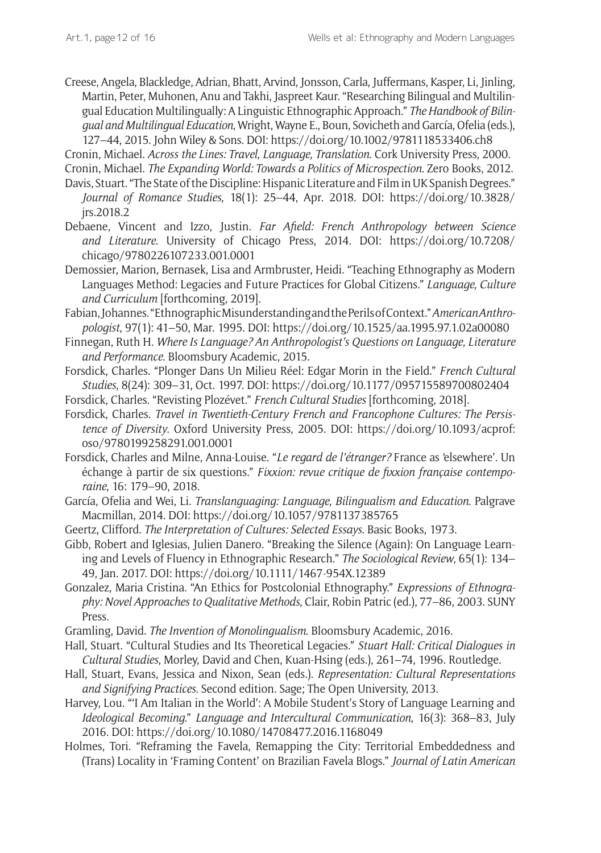Creese, Angela, Blackledge, Adrian, Bhatt, Arvind, Jonsson, Carla, Juffermans, Kasper, Li, Jinling, Martin, Peter, Muhonen, Anu and Takhi, Jaspreet Kaur. "Researching Bilingual and Multilingual Education Multilingually: A Linguistic Ethnographic Approach." *The Handbook of Bilingual and Multilingual Education*, Wright, Wayne E., Boun, Sovicheth and García, Ofelia (eds.), 127–44, 2015. John Wiley & Sons. DOI:<https://doi.org/10.1002/9781118533406.ch8>

Cronin, Michael. *Across the Lines: Travel, Language, Translation*. Cork University Press, 2000.

Cronin, Michael. *The Expanding World: Towards a Politics of Microspection*. Zero Books, 2012. Davis, Stuart. "The State of the Discipline: Hispanic Literature and Film in UK Spanish Degrees."

- *Journal of Romance Studies*, 18(1): 25–44, Apr. 2018. DOI: [https://doi.org/10.3828/](https://doi.org/10.3828/jrs.2018.2) [jrs.2018.2](https://doi.org/10.3828/jrs.2018.2)
- Debaene, Vincent and Izzo, Justin. *Far Afield: French Anthropology between Science and Literature*. University of Chicago Press, 2014. DOI: [https://doi.org/10.7208/](https://doi.org/10.7208/chicago/9780226107233.001.0001) [chicago/9780226107233.001.0001](https://doi.org/10.7208/chicago/9780226107233.001.0001)
- Demossier, Marion, Bernasek, Lisa and Armbruster, Heidi. "Teaching Ethnography as Modern Languages Method: Legacies and Future Practices for Global Citizens." *Language, Culture and Curriculum* [forthcoming, 2019].
- Fabian, Johannes. "Ethnographic Misunderstanding and the Perils of Context." *American Anthropologist*, 97(1): 41–50, Mar. 1995. DOI:<https://doi.org/10.1525/aa.1995.97.1.02a00080>
- Finnegan, Ruth H. *Where Is Language? An Anthropologist's Questions on Language, Literature and Performance*. Bloomsbury Academic, 2015.
- Forsdick, Charles. "Plonger Dans Un Milieu Réel: Edgar Morin in the Field." *French Cultural Studies*, 8(24): 309–31, Oct. 1997. DOI: <https://doi.org/10.1177/095715589700802404>
- Forsdick, Charles. "Revisting Plozévet." *French Cultural Studies* [forthcoming, 2018].
- Forsdick, Charles. *Travel in Twentieth-Century French and Francophone Cultures: The Persistence of Diversity*. Oxford University Press, 2005. DOI: [https://doi.org/10.1093/acprof:](https://doi.org/10.1093/acprof:oso/9780199258291.001.0001) [oso/9780199258291.001.0001](https://doi.org/10.1093/acprof:oso/9780199258291.001.0001)
- Forsdick, Charles and Milne, Anna-Louise. "*Le regard de l'étranger?* France as 'elsewhere'. Un échange à partir de six questions." *Fixxion: revue critique de fixxion française contemporaine*, 16: 179–90, 2018.
- García, Ofelia and Wei, Li. *Translanguaging: Language, Bilingualism and Education*. Palgrave Macmillan, 2014. DOI: <https://doi.org/10.1057/9781137385765>
- Geertz, Clifford. *The Interpretation of Cultures: Selected Essays*. Basic Books, 1973.
- Gibb, Robert and Iglesias, Julien Danero. "Breaking the Silence (Again): On Language Learning and Levels of Fluency in Ethnographic Research." *The Sociological Review*, 65(1): 134– 49, Jan. 2017. DOI:<https://doi.org/10.1111/1467-954X.12389>
- Gonzalez, Maria Cristina. "An Ethics for Postcolonial Ethnography." *Expressions of Ethnography: Novel Approaches to Qualitative Methods*, Clair, Robin Patric (ed.), 77–86, 2003. SUNY Press.
- Gramling, David. *The Invention of Monolingualism*. Bloomsbury Academic, 2016.
- Hall, Stuart. "Cultural Studies and Its Theoretical Legacies." *Stuart Hall: Critical Dialogues in Cultural Studies*, Morley, David and Chen, Kuan-Hsing (eds.), 261–74, 1996. Routledge.
- Hall, Stuart, Evans, Jessica and Nixon, Sean (eds.). *Representation: Cultural Representations and Signifying Practices*. Second edition. Sage; The Open University, 2013.
- Harvey, Lou. "'I Am Italian in the World': A Mobile Student's Story of Language Learning and *Ideological Becoming*." *Language and Intercultural Communication*, 16(3): 368–83, July 2016. DOI:<https://doi.org/10.1080/14708477.2016.1168049>
- Holmes, Tori. "Reframing the Favela, Remapping the City: Territorial Embeddedness and (Trans) Locality in 'Framing Content' on Brazilian Favela Blogs." *Journal of Latin American*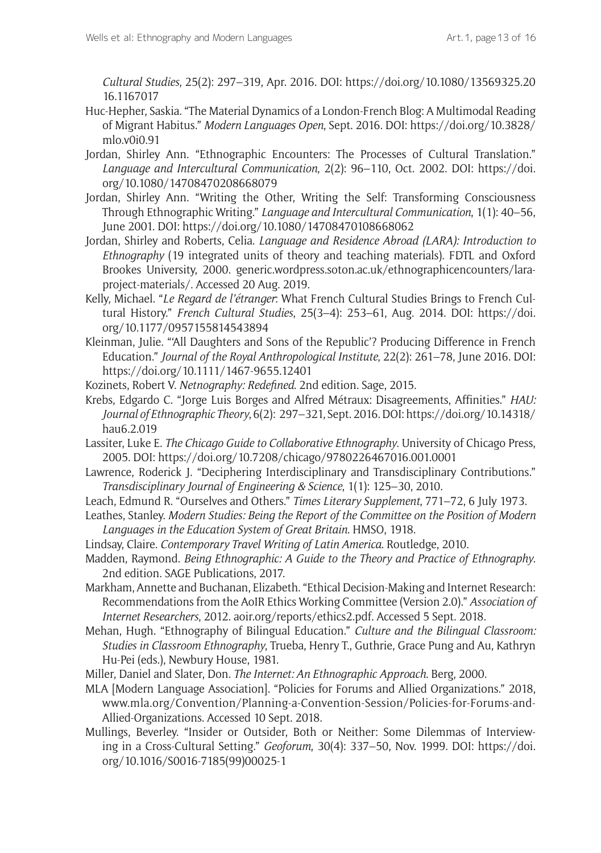*Cultural Studies*, 25(2): 297–319, Apr. 2016. DOI: [https://doi.org/10.1080/13569325.20](https://doi.org/10.1080/13569325.2016.1167017) [16.1167017](https://doi.org/10.1080/13569325.2016.1167017)

- Huc-Hepher, Saskia. "The Material Dynamics of a London-French Blog: A Multimodal Reading of Migrant Habitus." *Modern Languages Open*, Sept. 2016. DOI: [https://doi.org/10.3828/](https://doi.org/10.3828/mlo.v0i0.91) [mlo.v0i0.91](https://doi.org/10.3828/mlo.v0i0.91)
- Jordan, Shirley Ann. "Ethnographic Encounters: The Processes of Cultural Translation." *Language and Intercultural Communication*, 2(2): 96–110, Oct. 2002. DOI: [https://doi.](https://doi.org/10.1080/14708470208668079) [org/10.1080/14708470208668079](https://doi.org/10.1080/14708470208668079)
- Jordan, Shirley Ann. "Writing the Other, Writing the Self: Transforming Consciousness Through Ethnographic Writing." *Language and Intercultural Communication*, 1(1): 40–56, June 2001. DOI: <https://doi.org/10.1080/14708470108668062>
- Jordan, Shirley and Roberts, Celia. *Language and Residence Abroad (LARA): Introduction to Ethnography* (19 integrated units of theory and teaching materials). FDTL and Oxford Brookes University, 2000. [generic.wordpress.soton.ac.uk/ethnographicencounters/lara](generic.wordpress.soton.ac.uk/ethnographicencounters/lara-project-materials/)[project-materials/](generic.wordpress.soton.ac.uk/ethnographicencounters/lara-project-materials/). Accessed 20 Aug. 2019.
- Kelly, Michael. "*Le Regard de l'étranger*: What French Cultural Studies Brings to French Cultural History." *French Cultural Studies*, 25(3–4): 253–61, Aug. 2014. DOI: [https://doi.](https://doi.org/10.1177/0957155814543894) [org/10.1177/0957155814543894](https://doi.org/10.1177/0957155814543894)
- Kleinman, Julie. "'All Daughters and Sons of the Republic'? Producing Difference in French Education." *Journal of the Royal Anthropological Institute*, 22(2): 261–78, June 2016. DOI: <https://doi.org/10.1111/1467-9655.12401>
- Kozinets, Robert V. *Netnography: Redefined*. 2nd edition. Sage, 2015.
- Krebs, Edgardo C. "Jorge Luis Borges and Alfred Métraux: Disagreements, Affinities." *HAU: Journal of Ethnographic Theory*, 6(2): 297–321, Sept. 2016. DOI: [https://doi.org/10.14318/](https://doi.org/10.14318/hau6.2.019) [hau6.2.019](https://doi.org/10.14318/hau6.2.019)
- Lassiter, Luke E. *The Chicago Guide to Collaborative Ethnography*. University of Chicago Press, 2005. DOI:<https://doi.org/10.7208/chicago/9780226467016.001.0001>
- Lawrence, Roderick J. "Deciphering Interdisciplinary and Transdisciplinary Contributions." *Transdisciplinary Journal of Engineering & Science*, 1(1): 125–30, 2010.
- Leach, Edmund R. "Ourselves and Others." *Times Literary Supplement*, 771–72, 6 July 1973.
- Leathes, Stanley. *Modern Studies: Being the Report of the Committee on the Position of Modern Languages in the Education System of Great Britain*. HMSO, 1918.
- Lindsay, Claire. *Contemporary Travel Writing of Latin America*. Routledge, 2010.
- Madden, Raymond. *Being Ethnographic: A Guide to the Theory and Practice of Ethnography*. 2nd edition. SAGE Publications, 2017.
- Markham, Annette and Buchanan, Elizabeth. "Ethical Decision-Making and Internet Research: Recommendations from the AoIR Ethics Working Committee (Version 2.0)." *Association of Internet Researchers*, 2012. [aoir.org/reports/ethics2.pdf.](http://aoir.org/reports/ethics2.pdf) Accessed 5 Sept. 2018.
- Mehan, Hugh. "Ethnography of Bilingual Education." *Culture and the Bilingual Classroom: Studies in Classroom Ethnography*, Trueba, Henry T., Guthrie, Grace Pung and Au, Kathryn Hu-Pei (eds.), Newbury House, 1981.
- Miller, Daniel and Slater, Don. *The Internet: An Ethnographic Approach*. Berg, 2000.
- MLA [Modern Language Association]. "Policies for Forums and Allied Organizations." 2018, [www.mla.org/Convention/Planning-a-Convention-Session/Policies-for-Forums-and-](https://www.mla.org/Convention/Planning-a-Convention-Session/Policies-for-Forums-and-Allied-Organizations)[Allied-Organizations.](https://www.mla.org/Convention/Planning-a-Convention-Session/Policies-for-Forums-and-Allied-Organizations) Accessed 10 Sept. 2018.
- Mullings, Beverley. "Insider or Outsider, Both or Neither: Some Dilemmas of Interviewing in a Cross-Cultural Setting." *Geoforum*, 30(4): 337–50, Nov. 1999. DOI: [https://doi.](https://doi.org/10.1016/S0016-7185(99)00025-1) [org/10.1016/S0016-7185\(99\)00025-1](https://doi.org/10.1016/S0016-7185(99)00025-1)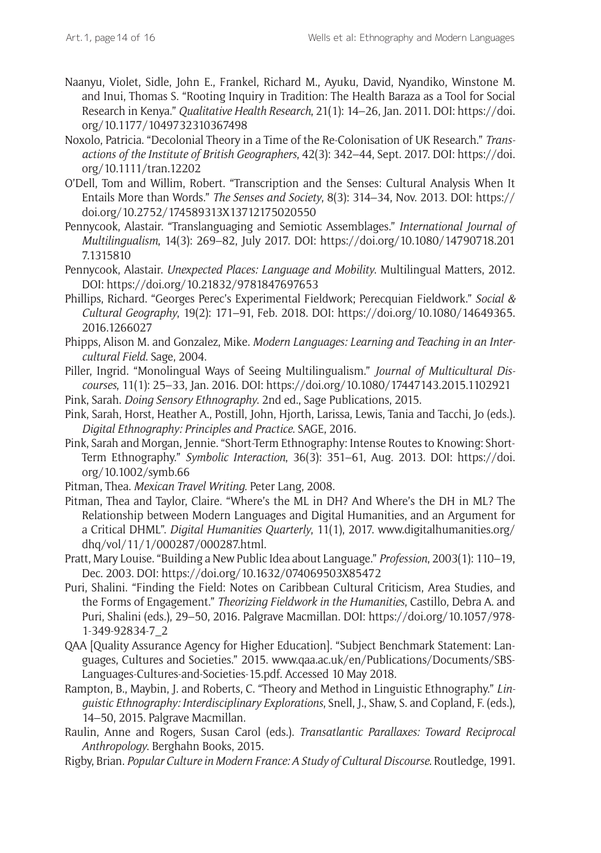- Naanyu, Violet, Sidle, John E., Frankel, Richard M., Ayuku, David, Nyandiko, Winstone M. and Inui, Thomas S. "Rooting Inquiry in Tradition: The Health Baraza as a Tool for Social Research in Kenya." *Qualitative Health Research*, 21(1): 14–26, Jan. 2011. DOI: [https://doi.](https://doi.org/10.1177/1049732310367498) [org/10.1177/1049732310367498](https://doi.org/10.1177/1049732310367498)
- Noxolo, Patricia. "Decolonial Theory in a Time of the Re-Colonisation of UK Research." *Transactions of the Institute of British Geographers*, 42(3): 342–44, Sept. 2017. DOI: [https://doi.](https://doi.org/10.1111/tran.12202) [org/10.1111/tran.12202](https://doi.org/10.1111/tran.12202)
- O'Dell, Tom and Willim, Robert. "Transcription and the Senses: Cultural Analysis When It Entails More than Words." *The Senses and Society*, 8(3): 314–34, Nov. 2013. DOI: [https://](https://doi.org/10.2752/174589313X13712175020550) [doi.org/10.2752/174589313X13712175020550](https://doi.org/10.2752/174589313X13712175020550)
- Pennycook, Alastair. "Translanguaging and Semiotic Assemblages." *International Journal of Multilingualism*, 14(3): 269–82, July 2017. DOI: [https://doi.org/10.1080/14790718.201](https://doi.org/10.1080/14790718.2017.1315810) [7.1315810](https://doi.org/10.1080/14790718.2017.1315810)
- Pennycook, Alastair. *Unexpected Places: Language and Mobility*. Multilingual Matters, 2012. DOI: <https://doi.org/10.21832/9781847697653>
- Phillips, Richard. "Georges Perec's Experimental Fieldwork; Perecquian Fieldwork." *Social & Cultural Geography*, 19(2): 171–91, Feb. 2018. DOI: [https://doi.org/10.1080/14649365.](https://doi.org/10.1080/14649365.2016.1266027) [2016.1266027](https://doi.org/10.1080/14649365.2016.1266027)
- Phipps, Alison M. and Gonzalez, Mike. *Modern Languages: Learning and Teaching in an Intercultural Field*. Sage, 2004.
- Piller, Ingrid. "Monolingual Ways of Seeing Multilingualism." *Journal of Multicultural Discourses*, 11(1): 25–33, Jan. 2016. DOI:<https://doi.org/10.1080/17447143.2015.1102921>
- Pink, Sarah. *Doing Sensory Ethnography*. 2nd ed., Sage Publications, 2015.
- Pink, Sarah, Horst, Heather A., Postill, John, Hjorth, Larissa, Lewis, Tania and Tacchi, Jo (eds.). *Digital Ethnography: Principles and Practice*. SAGE, 2016.
- Pink, Sarah and Morgan, Jennie. "Short-Term Ethnography: Intense Routes to Knowing: Short-Term Ethnography." *Symbolic Interaction*, 36(3): 351–61, Aug. 2013. DOI: [https://doi.](https://doi.org/10.1002/symb.66) [org/10.1002/symb.66](https://doi.org/10.1002/symb.66)
- Pitman, Thea. *Mexican Travel Writing*. Peter Lang, 2008.
- Pitman, Thea and Taylor, Claire. "Where's the ML in DH? And Where's the DH in ML? The Relationship between Modern Languages and Digital Humanities, and an Argument for a Critical DHML". *Digital Humanities Quarterly*, 11(1), 2017. [www.digitalhumanities.org/](http://www.digitalhumanities.org/dhq/vol/11/1/000287/000287.html) [dhq/vol/11/1/000287/000287.html](http://www.digitalhumanities.org/dhq/vol/11/1/000287/000287.html).
- Pratt, Mary Louise. "Building a New Public Idea about Language." *Profession*, 2003(1): 110–19, Dec. 2003. DOI:<https://doi.org/10.1632/074069503X85472>
- Puri, Shalini. "Finding the Field: Notes on Caribbean Cultural Criticism, Area Studies, and the Forms of Engagement." *Theorizing Fieldwork in the Humanities*, Castillo, Debra A. and Puri, Shalini (eds.), 29–50, 2016. Palgrave Macmillan. DOI: [https://doi.org/10.1057/978-](https://doi.org/10.1057/978-1-349-92834-7_2) [1-349-92834-7\\_2](https://doi.org/10.1057/978-1-349-92834-7_2)
- QAA [Quality Assurance Agency for Higher Education]. "Subject Benchmark Statement: Languages, Cultures and Societies." 2015. [www.qaa.ac.uk/en/Publications/Documents/SBS-](http://www.qaa.ac.uk/en/Publications/Documents/SBS-Languages-Cultures-and-Societies-15.pdf)[Languages-Cultures-and-Societies-15.pdf.](http://www.qaa.ac.uk/en/Publications/Documents/SBS-Languages-Cultures-and-Societies-15.pdf) Accessed 10 May 2018.
- Rampton, B., Maybin, J. and Roberts, C. "Theory and Method in Linguistic Ethnography." *Linguistic Ethnography: Interdisciplinary Explorations*, Snell, J., Shaw, S. and Copland, F. (eds.), 14–50, 2015. Palgrave Macmillan.
- Raulin, Anne and Rogers, Susan Carol (eds.). *Transatlantic Parallaxes: Toward Reciprocal Anthropology*. Berghahn Books, 2015.
- Rigby, Brian. *Popular Culture in Modern France: A Study of Cultural Discourse*. Routledge, 1991.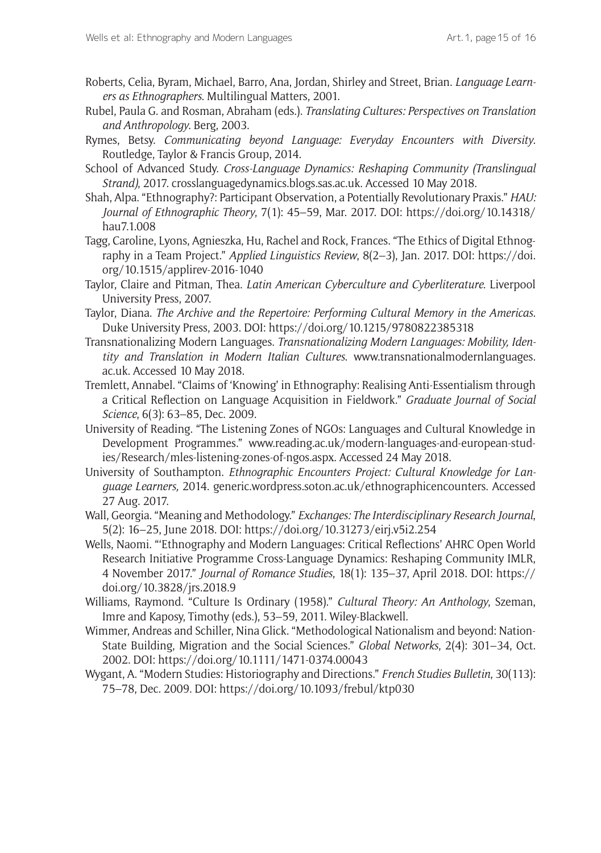- Roberts, Celia, Byram, Michael, Barro, Ana, Jordan, Shirley and Street, Brian. *Language Learners as Ethnographers*. Multilingual Matters, 2001.
- Rubel, Paula G. and Rosman, Abraham (eds.). *Translating Cultures: Perspectives on Translation and Anthropology*. Berg, 2003.
- Rymes, Betsy. *Communicating beyond Language: Everyday Encounters with Diversity*. Routledge, Taylor & Francis Group, 2014.
- School of Advanced Study. *Cross-Language Dynamics: Reshaping Community (Translingual Strand)*, 2017. [crosslanguagedynamics.blogs.sas.ac.uk](https://crosslanguagedynamics.blogs.sas.ac.uk). Accessed 10 May 2018.
- Shah, Alpa. "Ethnography?: Participant Observation, a Potentially Revolutionary Praxis." *HAU: Journal of Ethnographic Theory*, 7(1): 45–59, Mar. 2017. DOI: [https://doi.org/10.14318/](https://doi.org/10.14318/hau7.1.008) [hau7.1.008](https://doi.org/10.14318/hau7.1.008)
- Tagg, Caroline, Lyons, Agnieszka, Hu, Rachel and Rock, Frances. "The Ethics of Digital Ethnography in a Team Project." *Applied Linguistics Review*, 8(2–3), Jan. 2017. DOI: [https://doi.](https://doi.org/10.1515/applirev-2016-1040) [org/10.1515/applirev-2016-1040](https://doi.org/10.1515/applirev-2016-1040)
- Taylor, Claire and Pitman, Thea. *Latin American Cyberculture and Cyberliterature*. Liverpool University Press, 2007.
- Taylor, Diana. *The Archive and the Repertoire: Performing Cultural Memory in the Americas*. Duke University Press, 2003. DOI:<https://doi.org/10.1215/9780822385318>
- Transnationalizing Modern Languages. *Transnationalizing Modern Languages: Mobility, Identity and Translation in Modern Italian Cultures*. [www.transnationalmodernlanguages.](https://www.transnationalmodernlanguages.ac.uk) [ac.uk](https://www.transnationalmodernlanguages.ac.uk). Accessed 10 May 2018.
- Tremlett, Annabel. "Claims of 'Knowing' in Ethnography: Realising Anti-Essentialism through a Critical Reflection on Language Acquisition in Fieldwork." *Graduate Journal of Social Science*, 6(3): 63–85, Dec. 2009.
- University of Reading. "The Listening Zones of NGOs: Languages and Cultural Knowledge in Development Programmes." [www.reading.ac.uk/modern-languages-and-european-stud](http://www.reading.ac.uk/modern-languages-and-european-studies/Research/mles-listening-zones-of-ngos.aspx)[ies/Research/mles-listening-zones-of-ngos.aspx](http://www.reading.ac.uk/modern-languages-and-european-studies/Research/mles-listening-zones-of-ngos.aspx). Accessed 24 May 2018.
- University of Southampton. *Ethnographic Encounters Project: Cultural Knowledge for Language Learners,* 2014. [generic.wordpress.soton.ac.uk/ethnographicencounters.](http://generic.wordpress.soton.ac.uk/ethnographicencounters/) Accessed 27 Aug. 2017.
- Wall, Georgia. "Meaning and Methodology." *Exchanges: The Interdisciplinary Research Journal*, 5(2): 16–25, June 2018. DOI:<https://doi.org/10.31273/eirj.v5i2.254>
- Wells, Naomi. "'Ethnography and Modern Languages: Critical Reflections' AHRC Open World Research Initiative Programme Cross-Language Dynamics: Reshaping Community IMLR, 4 November 2017." *Journal of Romance Studies*, 18(1): 135–37, April 2018. DOI: [https://](https://doi.org/10.3828/jrs.2018.9) [doi.org/10.3828/jrs.2018.9](https://doi.org/10.3828/jrs.2018.9)
- Williams, Raymond. "Culture Is Ordinary (1958)." *Cultural Theory: An Anthology*, Szeman, Imre and Kaposy, Timothy (eds.), 53–59, 2011. Wiley-Blackwell.
- Wimmer, Andreas and Schiller, Nina Glick. "Methodological Nationalism and beyond: Nation-State Building, Migration and the Social Sciences." *Global Networks*, 2(4): 301–34, Oct. 2002. DOI:<https://doi.org/10.1111/1471-0374.00043>
- Wygant, A. "Modern Studies: Historiography and Directions." *French Studies Bulletin*, 30(113): 75–78, Dec. 2009. DOI:<https://doi.org/10.1093/frebul/ktp030>